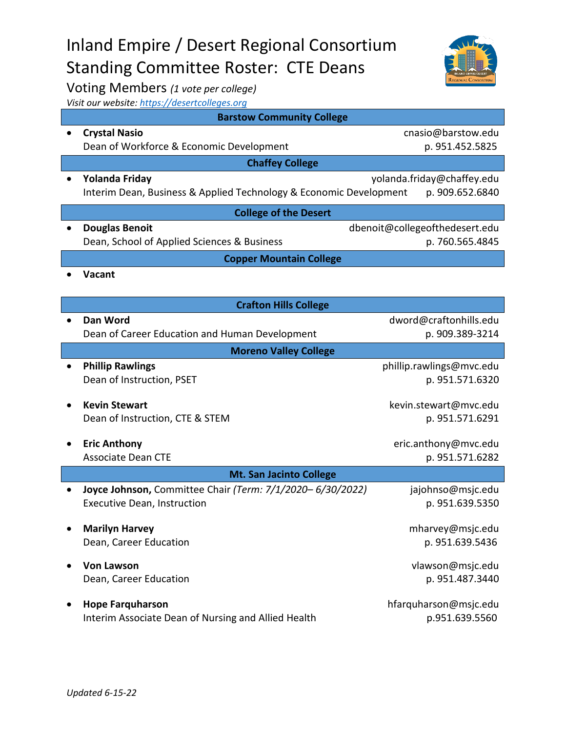|           | <b>Executive Dean, Instruction</b>                                             | p. 951.639.5350                         |
|-----------|--------------------------------------------------------------------------------|-----------------------------------------|
| $\bullet$ | <b>Marilyn Harvey</b><br>Dean, Career Education                                | mharvey@msjc.edu<br>p. 951.639.5436     |
| $\bullet$ | <b>Von Lawson</b><br>Dean, Career Education                                    | vlawson@msjc.edu<br>p. 951.487.3440     |
| $\bullet$ | <b>Hope Farguharson</b><br>Interim Associate Dean of Nursing and Allied Health | hfarquharson@msjc.edu<br>p.951.639.5560 |
|           |                                                                                |                                         |
|           |                                                                                |                                         |

**Barstow Community College** • **Crystal Nasio** cnasio@barstow.edu Dean of Workforce & Economic Development by a metal p. 951.452.5825 **Chaffey College** • **Yolanda Friday** yolanda.friday@chaffey.edu Interim Dean, Business & Applied Technology & Economic Development p. 909.652.6840

**College of the Desert** • **Douglas Benoit** dbenoit@collegeofthedesert.edu Dean, School of Applied Sciences & Business p. 760.565.4845

**Copper Mountain College**

**Crafton Hills College** • **Dan Word** dword@craftonhills.edu Dean of Career Education and Human Development **p. 909.389-3214 Moreno Valley College Phillip Rawlings Phillip.rawlings@mvc.edu** Dean of Instruction, PSET p. 951.571.6320

• **Kevin Stewart** kevin.stewart@mvc.edu Dean of Instruction, CTE & STEM p. 951.571.6291

• **Eric Anthony eric.anthony eric.anthony eric.anthony eric.anthony eric.anthony eric.anthony eric.anthony eric.anthony eric.anthony eric.anthony eric.anthony eric.anthony eric.anthony eric.anth** Associate Dean CTE and the p. 951.571.6282 **Mt. San Jacinto College** • **Joyce Johnson,** Committee Chair *(Term: 7/1/2020– 6/30/2022)* jajohnso@msjc.edu

Inland Empire / Desert Regional Consortium



• **Vacant**